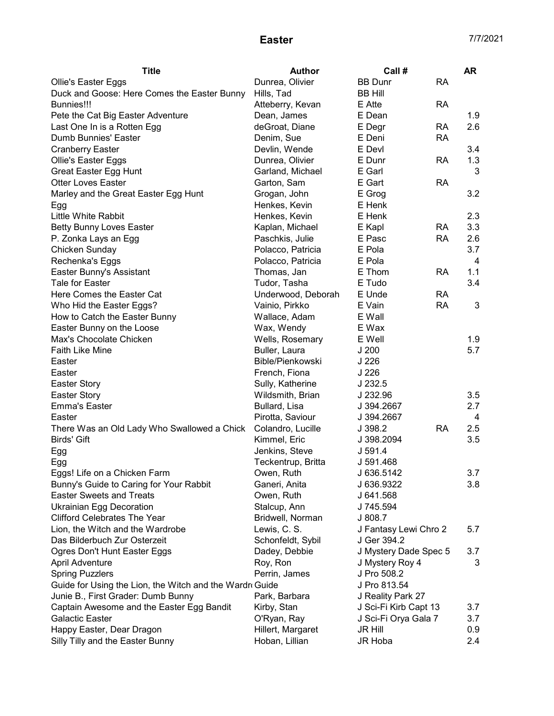| <b>Title</b>                                            | Author             | Call #                |           | <b>AR</b> |
|---------------------------------------------------------|--------------------|-----------------------|-----------|-----------|
| <b>Ollie's Easter Eggs</b>                              | Dunrea, Olivier    | <b>BB Dunr</b>        | <b>RA</b> |           |
| Duck and Goose: Here Comes the Easter Bunny             | Hills, Tad         | <b>BB Hill</b>        |           |           |
| <b>Bunnies!!!</b>                                       | Atteberry, Kevan   | E Atte                | <b>RA</b> |           |
| Pete the Cat Big Easter Adventure                       | Dean, James        | E Dean                |           | 1.9       |
| Last One In is a Rotten Egg                             | deGroat, Diane     | E Degr                | RA        | 2.6       |
| Dumb Bunnies' Easter                                    | Denim, Sue         | E Deni                | <b>RA</b> |           |
| <b>Cranberry Easter</b>                                 | Devlin, Wende      | E Devl                |           | 3.4       |
| Ollie's Easter Eggs                                     | Dunrea, Olivier    | E Dunr                | <b>RA</b> | 1.3       |
| <b>Great Easter Egg Hunt</b>                            | Garland, Michael   | E Garl                |           | 3         |
| <b>Otter Loves Easter</b>                               | Garton, Sam        | E Gart                | <b>RA</b> |           |
| Marley and the Great Easter Egg Hunt                    | Grogan, John       | E Grog                |           | 3.2       |
| Egg                                                     | Henkes, Kevin      | E Henk                |           |           |
| Little White Rabbit                                     | Henkes, Kevin      | E Henk                |           | 2.3       |
| <b>Betty Bunny Loves Easter</b>                         | Kaplan, Michael    | E Kapl                | <b>RA</b> | 3.3       |
| P. Zonka Lays an Egg                                    | Paschkis, Julie    | E Pasc                | <b>RA</b> | 2.6       |
| Chicken Sunday                                          | Polacco, Patricia  | E Pola                |           | 3.7       |
| Rechenka's Eggs                                         | Polacco, Patricia  | E Pola                |           | 4         |
| Easter Bunny's Assistant                                | Thomas, Jan        | E Thom                | <b>RA</b> | 1.1       |
| <b>Tale for Easter</b>                                  | Tudor, Tasha       | E Tudo                |           | 3.4       |
| Here Comes the Easter Cat                               | Underwood, Deborah | E Unde                | <b>RA</b> |           |
| Who Hid the Easter Eggs?                                | Vainio, Pirkko     | E Vain                | <b>RA</b> | 3         |
| How to Catch the Easter Bunny                           | Wallace, Adam      | E Wall                |           |           |
| Easter Bunny on the Loose                               | Wax, Wendy         | E Wax                 |           |           |
| Max's Chocolate Chicken                                 | Wells, Rosemary    | E Well                |           | 1.9       |
| Faith Like Mine                                         | Buller, Laura      | J200                  |           | 5.7       |
| Easter                                                  | Bible/Pienkowski   | J <sub>226</sub>      |           |           |
| Easter                                                  | French, Fiona      | J <sub>226</sub>      |           |           |
| <b>Easter Story</b>                                     | Sully, Katherine   | J 232.5               |           |           |
| <b>Easter Story</b>                                     | Wildsmith, Brian   | J 232.96              |           | 3.5       |
| <b>Emma's Easter</b>                                    | Bullard, Lisa      | J 394.2667            |           | 2.7       |
| Easter                                                  | Pirotta, Saviour   | J 394.2667            |           | 4         |
| There Was an Old Lady Who Swallowed a Chick             | Colandro, Lucille  | J 398.2               | <b>RA</b> | 2.5       |
| <b>Birds' Gift</b>                                      | Kimmel, Eric       | J 398.2094            |           | 3.5       |
| Egg                                                     | Jenkins, Steve     | J 591.4               |           |           |
| Egg                                                     | Teckentrup, Britta | J 591.468             |           |           |
| Eggs! Life on a Chicken Farm                            | Owen, Ruth         | J 636.5142            |           | 3.7       |
| Bunny's Guide to Caring for Your Rabbit                 | Ganeri, Anita      | J 636.9322            |           | 3.8       |
| <b>Easter Sweets and Treats</b>                         | Owen, Ruth         | J 641.568             |           |           |
| <b>Ukrainian Egg Decoration</b>                         | Stalcup, Ann       | J 745.594             |           |           |
| <b>Clifford Celebrates The Year</b>                     | Bridwell, Norman   | J 808.7               |           |           |
| Lion, the Witch and the Wardrobe                        | Lewis, C. S.       | J Fantasy Lewi Chro 2 |           | 5.7       |
| Das Bilderbuch Zur Osterzeit                            | Schonfeldt, Sybil  | J Ger 394.2           |           |           |
| Ogres Don't Hunt Easter Eggs                            | Dadey, Debbie      | J Mystery Dade Spec 5 |           | 3.7       |
| April Adventure                                         | Roy, Ron           | J Mystery Roy 4       |           | 3         |
| <b>Spring Puzzlers</b>                                  | Perrin, James      | J Pro 508.2           |           |           |
| Guide for Using the Lion, the Witch and the Wardr Guide |                    | J Pro 813.54          |           |           |
| Junie B., First Grader: Dumb Bunny                      | Park, Barbara      | J Reality Park 27     |           |           |
| Captain Awesome and the Easter Egg Bandit               | Kirby, Stan        | J Sci-Fi Kirb Capt 13 |           | 3.7       |
| Galactic Easter                                         | O'Ryan, Ray        | J Sci-Fi Orya Gala 7  |           | 3.7       |
| Happy Easter, Dear Dragon                               | Hillert, Margaret  | JR Hill               |           | 0.9       |
| Silly Tilly and the Easter Bunny                        | Hoban, Lillian     | JR Hoba               |           | 2.4       |